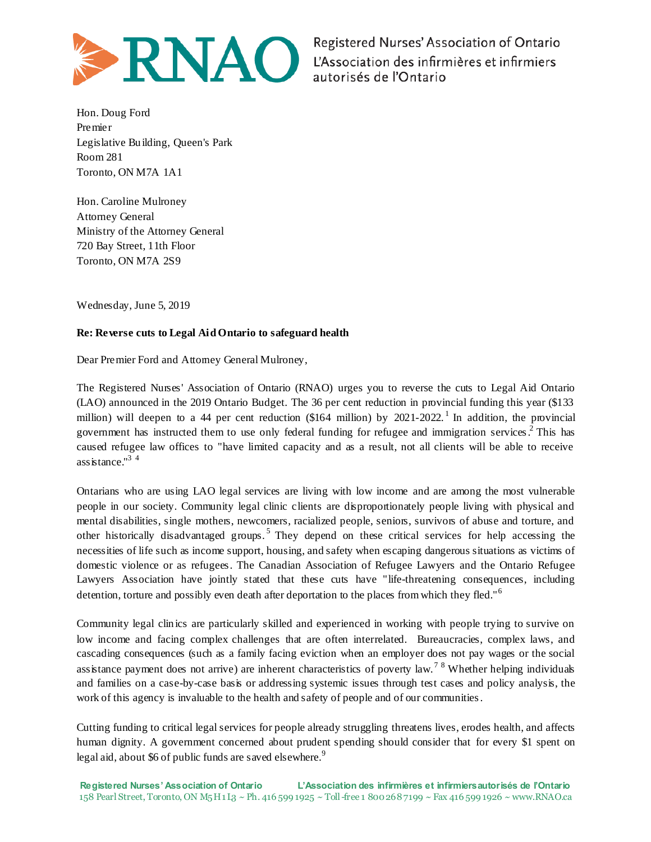

Registered Nurses' Association of Ontario L'Association des infirmières et infirmiers autorisés de l'Ontario

Hon. Doug Ford Premier Legislative Building, Queen's Park Room 281 Toronto, ON M7A 1A1

Hon. Caroline Mulroney Attorney General Ministry of the Attorney General 720 Bay Street, 11th Floor Toronto, ON M7A 2S9

Wednesday, June 5, 2019

## **Re: Reverse cuts to Legal Aid Ontario to safeguard health**

Dear Premier Ford and Attorney General Mulroney,

The Registered Nurses' Association of Ontario (RNAO) urges you to reverse the cuts to Legal Aid Ontario (LAO) announced in the 2019 Ontario Budget. The 36 per cent reduction in provincial funding this year (\$133 million) will deepen to a 44 per cent reduction (\$164 million) by 2021-2022.<sup>1</sup> In addition, the provincial government has instructed them to use only federal funding for refugee and immigration services. 2 This has caused refugee law offices to "have limited capacity and as a result, not all clients will be able to receive assistance."<sup>3</sup> <sup>4</sup>

Ontarians who are using LAO legal services are living with low income and are among the most vulnerable people in our society. Community legal clinic clients are disproportionately people living with physical and mental disabilities, single mothers, newcomers, racialized people, seniors, survivors of abuse and torture, and other historically disadvantaged groups.<sup>5</sup> They depend on these critical services for help accessing the necessities of life such as income support, housing, and safety when escaping dangerous situations as victims of domestic violence or as refugees. The Canadian Association of Refugee Lawyers and the Ontario Refugee Lawyers Association have jointly stated that these cuts have "life-threatening consequences, including detention, torture and possibly even death after deportation to the places from which they fled."<sup>6</sup>

Community legal clinics are particularly skilled and experienced in working with people trying to survive on low income and facing complex challenges that are often interrelated. Bureaucracies, complex laws, and cascading consequences (such as a family facing eviction when an employer does not pay wages or the social assistance payment does not arrive) are inherent characteristics of poverty law.<sup>7</sup>  $8$  Whether helping individuals and families on a case-by-case basis or addressing systemic issues through test cases and policy analysis, the work of this agency is invaluable to the health and safety of people and of our communities.

Cutting funding to critical legal services for people already struggling threatens lives, erodes health, and affects human dignity. A government concerned about prudent spending should consider that for every \$1 spent on legal aid, about \$6 of public funds are saved elsewhere.<sup>9</sup>